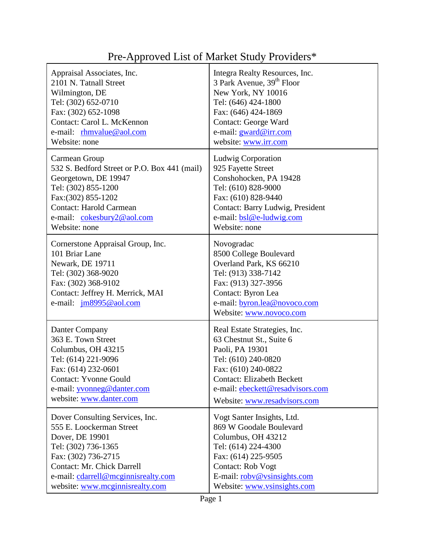## <span id="page-0-0"></span>Pre-Approved List of Market Study Providers\*

| Appraisal Associates, Inc.                                                                                                                                                          | Integra Realty Resources, Inc.                                                                                                                                                                 |
|-------------------------------------------------------------------------------------------------------------------------------------------------------------------------------------|------------------------------------------------------------------------------------------------------------------------------------------------------------------------------------------------|
| 2101 N. Tatnall Street                                                                                                                                                              | 3 Park Avenue, 39 <sup>th</sup> Floor                                                                                                                                                          |
| Wilmington, DE                                                                                                                                                                      | New York, NY 10016                                                                                                                                                                             |
| Tel: (302) 652-0710                                                                                                                                                                 | Tel: (646) 424-1800                                                                                                                                                                            |
| Fax: (302) 652-1098                                                                                                                                                                 | Fax: (646) 424-1869                                                                                                                                                                            |
| Contact: Carol L. McKennon                                                                                                                                                          | <b>Contact: George Ward</b>                                                                                                                                                                    |
| e-mail: rhmvalue@aol.com                                                                                                                                                            | e-mail: gward@irr.com                                                                                                                                                                          |
| Website: none                                                                                                                                                                       | website: www.irr.com                                                                                                                                                                           |
| Carmean Group                                                                                                                                                                       | Ludwig Corporation                                                                                                                                                                             |
| 532 S. Bedford Street or P.O. Box 441 (mail)                                                                                                                                        | 925 Fayette Street                                                                                                                                                                             |
| Georgetown, DE 19947                                                                                                                                                                | Conshohocken, PA 19428                                                                                                                                                                         |
| Tel: (302) 855-1200                                                                                                                                                                 | Tel: (610) 828-9000                                                                                                                                                                            |
| Fax: (302) 855-1202                                                                                                                                                                 | Fax: (610) 828-9440                                                                                                                                                                            |
| <b>Contact: Harold Carmean</b>                                                                                                                                                      | Contact: Barry Ludwig, President                                                                                                                                                               |
| e-mail: cokesbury2@aol.com                                                                                                                                                          | e-mail: bsl@e-ludwig.com                                                                                                                                                                       |
| Website: none                                                                                                                                                                       | Website: none                                                                                                                                                                                  |
| Cornerstone Appraisal Group, Inc.<br>101 Briar Lane<br>Newark, DE 19711<br>Tel: (302) 368-9020<br>Fax: (302) 368-9102<br>Contact: Jeffrey H. Merrick, MAI<br>e-mail: jm8995@aol.com | Novogradac<br>8500 College Boulevard<br>Overland Park, KS 66210<br>Tel: (913) 338-7142<br>Fax: (913) 327-3956<br>Contact: Byron Lea<br>e-mail: byron.lea@novoco.com<br>Website: www.novoco.com |
| Danter Company                                                                                                                                                                      | Real Estate Strategies, Inc.                                                                                                                                                                   |
| 363 E. Town Street                                                                                                                                                                  | 63 Chestnut St., Suite 6                                                                                                                                                                       |
| Columbus, OH 43215                                                                                                                                                                  | Paoli, PA 19301                                                                                                                                                                                |
| Tel: (614) 221-9096                                                                                                                                                                 | Tel: (610) 240-0820                                                                                                                                                                            |
| Fax: (614) 232-0601                                                                                                                                                                 | Fax: (610) 240-0822                                                                                                                                                                            |
| <b>Contact: Yvonne Gould</b>                                                                                                                                                        | <b>Contact: Elizabeth Beckett</b>                                                                                                                                                              |
| e-mail: <i>yvonneg@danter.com</i>                                                                                                                                                   | e-mail: ebeckett@resadvisors.com                                                                                                                                                               |
| website: www.danter.com                                                                                                                                                             | Website: www.resadvisors.com                                                                                                                                                                   |
| Dover Consulting Services, Inc.                                                                                                                                                     | Vogt Santer Insights, Ltd.                                                                                                                                                                     |
| 555 E. Loockerman Street                                                                                                                                                            | 869 W Goodale Boulevard                                                                                                                                                                        |
| Dover, DE 19901                                                                                                                                                                     | Columbus, OH 43212                                                                                                                                                                             |
| Tel: (302) 736-1365                                                                                                                                                                 | Tel: (614) 224-4300                                                                                                                                                                            |
| Fax: (302) 736-2715                                                                                                                                                                 | Fax: (614) 225-9505                                                                                                                                                                            |
| <b>Contact: Mr. Chick Darrell</b>                                                                                                                                                   | Contact: Rob Vogt                                                                                                                                                                              |
| e-mail: cdarrell@mcginnisrealty.com                                                                                                                                                 | E-mail: roby@vsinsights.com                                                                                                                                                                    |
| website: www.mcginnisrealty.com                                                                                                                                                     | Website: www.vsinsights.com                                                                                                                                                                    |